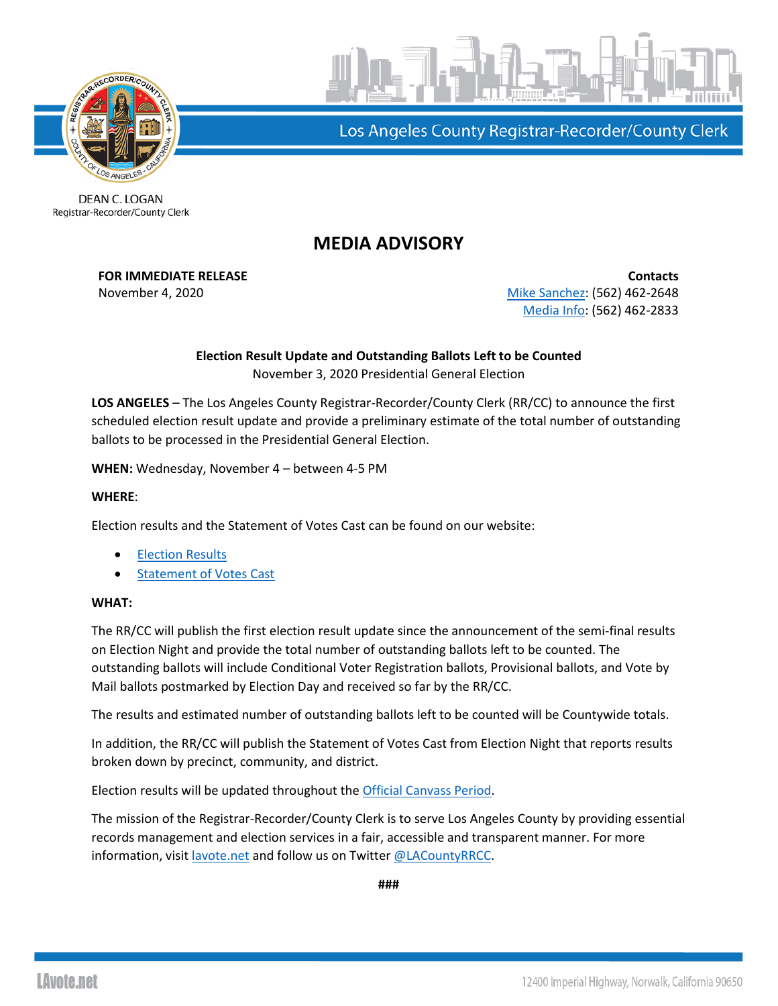

DEAN C. LOGAN Registrar-Recorder/County Clerk

Los Angeles County Registrar-Recorder/County Clerk

**MEDIA ADVISORY**

**FOR IMMEDIATE RELEASE Contacts** November 4, 2020 **[Mike Sanchez:](mailto:msanchez@rrcc.lacounty.gov)** (562) 462-2648 [Media Info:](mailto:mediainfo@rrcc.lacounty.gov) (562) 462-2833

## **Election Result Update and Outstanding Ballots Left to be Counted**

November 3, 2020 Presidential General Election

**LOS ANGELES** – The Los Angeles County Registrar-Recorder/County Clerk (RR/CC) to announce the first scheduled election result update and provide a preliminary estimate of the total number of outstanding ballots to be processed in the Presidential General Election.

**WHEN:** Wednesday, November 4 – between 4-5 PM

## **WHERE**:

Election results and the Statement of Votes Cast can be found on our website:

- [Election Results](https://results.lavote.net/#year=2020&election=4193)
- [Statement of Votes Cast](https://www.lavote.net/home/voting-elections/current-elections/election-results/past-election-results)

## **WHAT:**

The RR/CC will publish the first election result update since the announcement of the semi-final results on Election Night and provide the total number of outstanding ballots left to be counted. The outstanding ballots will include Conditional Voter Registration ballots, Provisional ballots, and Vote by Mail ballots postmarked by Election Day and received so far by the RR/CC.

The results and estimated number of outstanding ballots left to be counted will be Countywide totals.

In addition, the RR/CC will publish the Statement of Votes Cast from Election Night that reports results broken down by precinct, community, and district.

Election results will be updated throughout the [Official Canvass Period.](https://www.lavote.net/docs/rrcc/election-info/11032020_canvass-update-schedule.pdf?)

The mission of the Registrar-Recorder/County Clerk is to serve Los Angeles County by providing essential records management and election services in a fair, accessible and transparent manner. For more information, visit [lavote.net](file://///sfile2/Governmental%20&%20Legislative%20Affairs/Media/Media%20Relations/Press%20Releases/Press%20Release%20Templates/lavote.net) and follow us on Twitter [@LACountyRRCC.](https://twitter.com/LACountyRRCC)

**###**